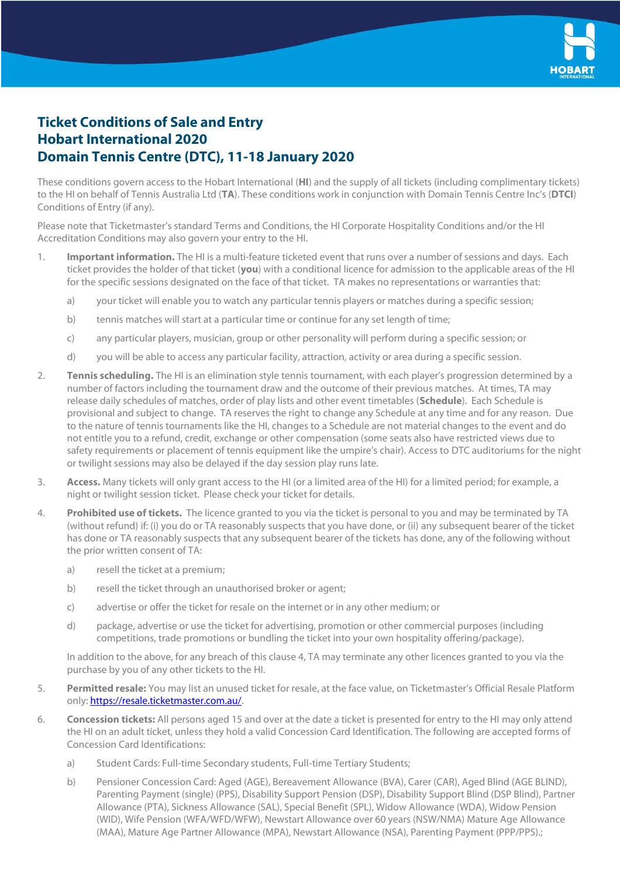

## **Ticket Conditions of Sale and Entry Hobart International 2020 Domain Tennis Centre (DTC), 11-18 January 2020**

These conditions govern access to the Hobart International (**HI**) and the supply of all tickets (including complimentary tickets) to the HI on behalf of Tennis Australia Ltd (**TA**). These conditions work in conjunction with Domain Tennis Centre Inc's (**DTCI**) Conditions of Entry (if any).

Please note that Ticketmaster's standard Terms and Conditions, the HI Corporate Hospitality Conditions and/or the HI Accreditation Conditions may also govern your entry to the HI.

- 1. **Important information.** The HI is a multi-feature ticketed event that runs over a number of sessions and days. Each ticket provides the holder of that ticket (**you**) with a conditional licence for admission to the applicable areas of the HI for the specific sessions designated on the face of that ticket. TA makes no representations or warranties that:
	- a) your ticket will enable you to watch any particular tennis players or matches during a specific session;
	- b) tennis matches will start at a particular time or continue for any set length of time;
	- c) any particular players, musician, group or other personality will perform during a specific session; or
	- d) you will be able to access any particular facility, attraction, activity or area during a specific session.
- 2. **Tennis scheduling.** The HI is an elimination style tennis tournament, with each player's progression determined by a number of factors including the tournament draw and the outcome of their previous matches. At times, TA may release daily schedules of matches, order of play lists and other event timetables (**Schedule**). Each Schedule is provisional and subject to change. TA reserves the right to change any Schedule at any time and for any reason. Due to the nature of tennis tournaments like the HI, changes to a Schedule are not material changes to the event and do not entitle you to a refund, credit, exchange or other compensation (some seats also have restricted views due to safety requirements or placement of tennis equipment like the umpire's chair). Access to DTC auditoriums for the night or twilight sessions may also be delayed if the day session play runs late.
- 3. **Access.** Many tickets will only grant access to the HI (or a limited area of the HI) for a limited period; for example, a night or twilight session ticket. Please check your ticket for details.
- 4. **Prohibited use of tickets.** The licence granted to you via the ticket is personal to you and may be terminated by TA (without refund) if: (i) you do or TA reasonably suspects that you have done, or (ii) any subsequent bearer of the ticket has done or TA reasonably suspects that any subsequent bearer of the tickets has done, any of the following without the prior written consent of TA:
	- a) resell the ticket at a premium;
	- b) resell the ticket through an unauthorised broker or agent;
	- c) advertise or offer the ticket for resale on the internet or in any other medium; or
	- d) package, advertise or use the ticket for advertising, promotion or other commercial purposes (including competitions, trade promotions or bundling the ticket into your own hospitality offering/package).

In addition to the above, for any breach of this clause 4, TA may terminate any other licences granted to you via the purchase by you of any other tickets to the HI.

- 5. **Permitted resale:** You may list an unused ticket for resale, at the face value, on Ticketmaster's Official Resale Platform only[: https://resale.ticketmaster.com.au/.](https://resale.ticketmaster.com.au/)
- 6. **Concession tickets:** All persons aged 15 and over at the date a ticket is presented for entry to the HI may only attend the HI on an adult ticket, unless they hold a valid Concession Card Identification. The following are accepted forms of Concession Card Identifications:
	- a) Student Cards: Full-time Secondary students, Full-time Tertiary Students;
	- b) Pensioner Concession Card: Aged (AGE), Bereavement Allowance (BVA), Carer (CAR), Aged Blind (AGE BLIND), Parenting Payment (single) (PPS), Disability Support Pension (DSP), Disability Support Blind (DSP Blind), Partner Allowance (PTA), Sickness Allowance (SAL), Special Benefit (SPL), Widow Allowance (WDA), Widow Pension (WID), Wife Pension (WFA/WFD/WFW), Newstart Allowance over 60 years (NSW/NMA) Mature Age Allowance (MAA), Mature Age Partner Allowance (MPA), Newstart Allowance (NSA), Parenting Payment (PPP/PPS).;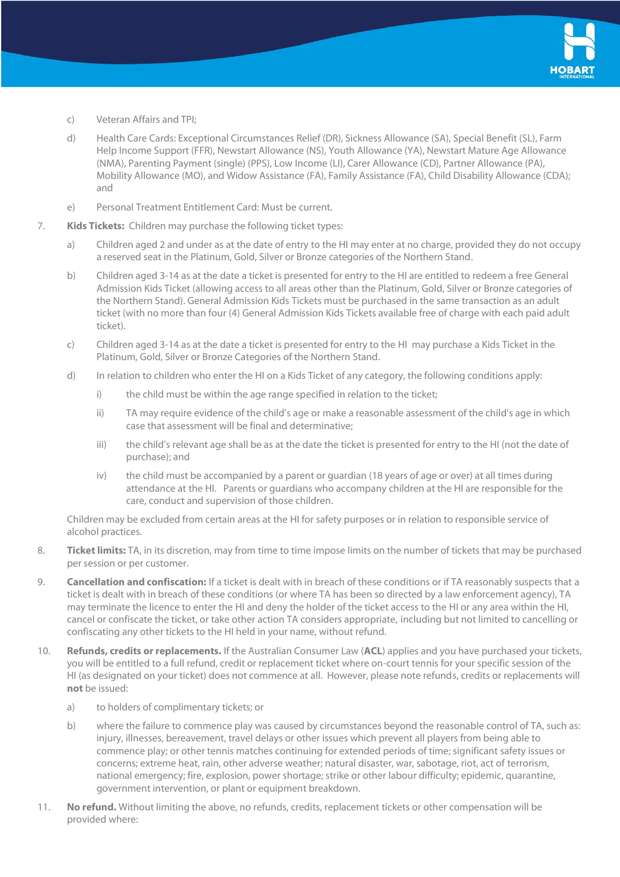

- c) Veteran Affairs and TPI;
- d) Health Care Cards: Exceptional Circumstances Relief (DR), Sickness Allowance (SA), Special Benefit (SL), Farm Help Income Support (FFR), Newstart Allowance (NS), Youth Allowance (YA), Newstart Mature Age Allowance (NMA), Parenting Payment (single) (PPS), Low Income (LI), Carer Allowance (CD), Partner Allowance (PA), Mobility Allowance (MO), and Widow Assistance (FA), Family Assistance (FA), Child Disability Allowance (CDA); and
- e) Personal Treatment Entitlement Card: Must be current.
- 7. **Kids Tickets:** Children may purchase the following ticket types:
	- a) Children aged 2 and under as at the date of entry to the HI may enter at no charge, provided they do not occupy a reserved seat in the Platinum, Gold, Silver or Bronze categories of the Northern Stand.
	- b) Children aged 3-14 as at the date a ticket is presented for entry to the HI are entitled to redeem a free General Admission Kids Ticket (allowing access to all areas other than the Platinum, Gold, Silver or Bronze categories of the Northern Stand). General Admission Kids Tickets must be purchased in the same transaction as an adult ticket (with no more than four (4) General Admission Kids Tickets available free of charge with each paid adult ticket).
	- c) Children aged 3-14 as at the date a ticket is presented for entry to the HI may purchase a Kids Ticket in the Platinum, Gold, Silver or Bronze Categories of the Northern Stand.
	- d) In relation to children who enter the HI on a Kids Ticket of any category, the following conditions apply:
		- i) the child must be within the age range specified in relation to the ticket;
		- ii) TA may require evidence of the child's age or make a reasonable assessment of the child's age in which case that assessment will be final and determinative;
		- iii) the child's relevant age shall be as at the date the ticket is presented for entry to the HI (not the date of purchase); and
		- iv) the child must be accompanied by a parent or guardian (18 years of age or over) at all times during attendance at the HI. Parents or guardians who accompany children at the HI are responsible for the care, conduct and supervision of those children.

Children may be excluded from certain areas at the HI for safety purposes or in relation to responsible service of alcohol practices.

- 8. **Ticket limits:** TA, in its discretion, may from time to time impose limits on the number of tickets that may be purchased per session or per customer.
- 9. **Cancellation and confiscation:** If a ticket is dealt with in breach of these conditions or if TA reasonably suspects that a ticket is dealt with in breach of these conditions (or where TA has been so directed by a law enforcement agency), TA may terminate the licence to enter the HI and deny the holder of the ticket access to the HI or any area within the HI, cancel or confiscate the ticket, or take other action TA considers appropriate, including but not limited to cancelling or confiscating any other tickets to the HI held in your name, without refund.
- 10. **Refunds, credits or replacements.** If the Australian Consumer Law (**ACL**) applies and you have purchased your tickets, you will be entitled to a full refund, credit or replacement ticket where on-court tennis for your specific session of the HI (as designated on your ticket) does not commence at all. However, please note refunds, credits or replacements will **not** be issued:
	- a) to holders of complimentary tickets; or
	- b) where the failure to commence play was caused by circumstances beyond the reasonable control of TA, such as: injury, illnesses, bereavement, travel delays or other issues which prevent all players from being able to commence play; or other tennis matches continuing for extended periods of time; significant safety issues or concerns; extreme heat, rain, other adverse weather; natural disaster, war, sabotage, riot, act of terrorism, national emergency; fire, explosion, power shortage; strike or other labour difficulty; epidemic, quarantine, government intervention, or plant or equipment breakdown.
- 11. **No refund.** Without limiting the above, no refunds, credits, replacement tickets or other compensation will be provided where: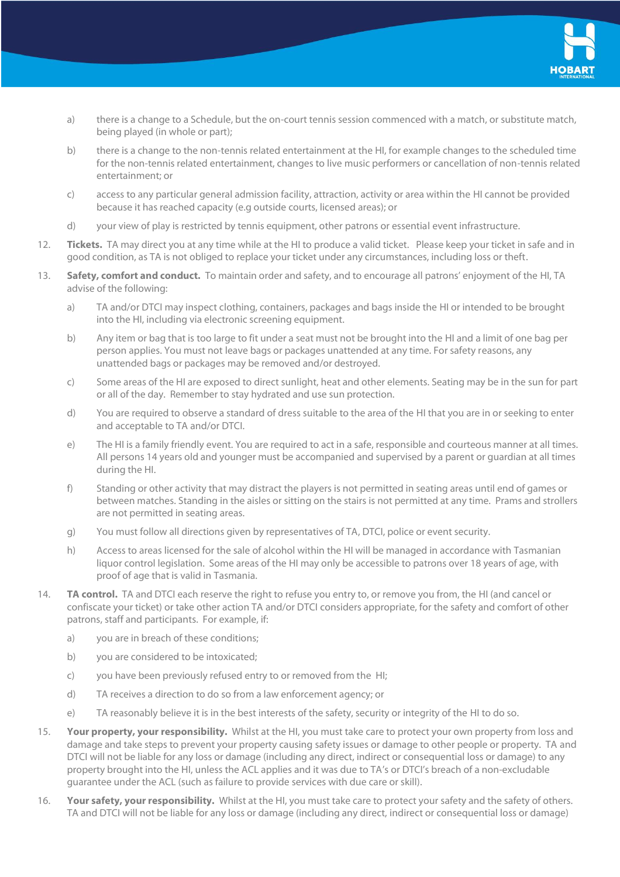

- a) there is a change to a Schedule, but the on-court tennis session commenced with a match, or substitute match, being played (in whole or part);
- b) there is a change to the non-tennis related entertainment at the HI, for example changes to the scheduled time for the non-tennis related entertainment, changes to live music performers or cancellation of non-tennis related entertainment; or
- c) access to any particular general admission facility, attraction, activity or area within the HI cannot be provided because it has reached capacity (e.g outside courts, licensed areas); or
- d) your view of play is restricted by tennis equipment, other patrons or essential event infrastructure.
- 12. **Tickets.** TA may direct you at any time while at the HI to produce a valid ticket. Please keep your ticket in safe and in good condition, as TA is not obliged to replace your ticket under any circumstances, including loss or theft.
- 13. **Safety, comfort and conduct.** To maintain order and safety, and to encourage all patrons' enjoyment of the HI, TA advise of the following:
	- a) TA and/or DTCI may inspect clothing, containers, packages and bags inside the HI or intended to be brought into the HI, including via electronic screening equipment.
	- b) Any item or bag that is too large to fit under a seat must not be brought into the HI and a limit of one bag per person applies. You must not leave bags or packages unattended at any time. For safety reasons, any unattended bags or packages may be removed and/or destroyed.
	- c) Some areas of the HI are exposed to direct sunlight, heat and other elements. Seating may be in the sun for part or all of the day. Remember to stay hydrated and use sun protection.
	- d) You are required to observe a standard of dress suitable to the area of the HI that you are in or seeking to enter and acceptable to TA and/or DTCI.
	- e) The HI is a family friendly event. You are required to act in a safe, responsible and courteous manner at all times. All persons 14 years old and younger must be accompanied and supervised by a parent or guardian at all times during the HI.
	- f) Standing or other activity that may distract the players is not permitted in seating areas until end of games or between matches. Standing in the aisles or sitting on the stairs is not permitted at any time. Prams and strollers are not permitted in seating areas.
	- g) You must follow all directions given by representatives of TA, DTCI, police or event security.
	- h) Access to areas licensed for the sale of alcohol within the HI will be managed in accordance with Tasmanian liquor control legislation. Some areas of the HI may only be accessible to patrons over 18 years of age, with proof of age that is valid in Tasmania.
- 14. **TA control.** TA and DTCI each reserve the right to refuse you entry to, or remove you from, the HI (and cancel or confiscate your ticket) or take other action TA and/or DTCI considers appropriate, for the safety and comfort of other patrons, staff and participants. For example, if:
	- a) you are in breach of these conditions;
	- b) you are considered to be intoxicated;
	- c) you have been previously refused entry to or removed from the HI;
	- d) TA receives a direction to do so from a law enforcement agency; or
	- e) TA reasonably believe it is in the best interests of the safety, security or integrity of the HI to do so.
- 15. **Your property, your responsibility.** Whilst at the HI, you must take care to protect your own property from loss and damage and take steps to prevent your property causing safety issues or damage to other people or property. TA and DTCI will not be liable for any loss or damage (including any direct, indirect or consequential loss or damage) to any property brought into the HI, unless the ACL applies and it was due to TA's or DTCI's breach of a non-excludable guarantee under the ACL (such as failure to provide services with due care or skill).
- 16. **Your safety, your responsibility.** Whilst at the HI, you must take care to protect your safety and the safety of others. TA and DTCI will not be liable for any loss or damage (including any direct, indirect or consequential loss or damage)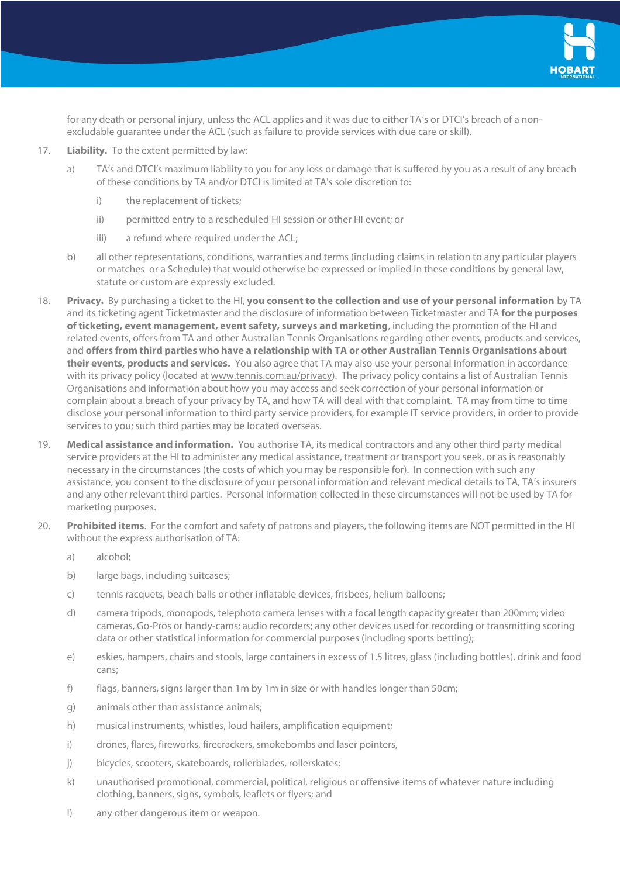

for any death or personal injury, unless the ACL applies and it was due to either TA's or DTCI's breach of a nonexcludable guarantee under the ACL (such as failure to provide services with due care or skill).

## 17. **Liability.** To the extent permitted by law:

- a) TA's and DTCI's maximum liability to you for any loss or damage that is suffered by you as a result of any breach of these conditions by TA and/or DTCI is limited at TA's sole discretion to:
	- i) the replacement of tickets;
	- ii) permitted entry to a rescheduled HI session or other HI event; or
	- iii) a refund where required under the ACL;
- b) all other representations, conditions, warranties and terms (including claims in relation to any particular players or matches or a Schedule) that would otherwise be expressed or implied in these conditions by general law, statute or custom are expressly excluded.
- 18. **Privacy.** By purchasing a ticket to the HI, **you consent to the collection and use of your personal information** by TA and its ticketing agent Ticketmaster and the disclosure of information between Ticketmaster and TA **for the purposes of ticketing, event management, event safety, surveys and marketing**, including the promotion of the HI and related events, offers from TA and other Australian Tennis Organisations regarding other events, products and services, and **offers from third parties who have a relationship with TA or other Australian Tennis Organisations about their events, products and services.** You also agree that TA may also use your personal information in accordance with its privacy policy (located a[t www.tennis.com.au/privacy\)](http://www.tennis.com.au/privacy). The privacy policy contains a list of Australian Tennis Organisations and information about how you may access and seek correction of your personal information or complain about a breach of your privacy by TA, and how TA will deal with that complaint. TA may from time to time disclose your personal information to third party service providers, for example IT service providers, in order to provide services to you; such third parties may be located overseas.
- 19. **Medical assistance and information.** You authorise TA, its medical contractors and any other third party medical service providers at the HI to administer any medical assistance, treatment or transport you seek, or as is reasonably necessary in the circumstances (the costs of which you may be responsible for). In connection with such any assistance, you consent to the disclosure of your personal information and relevant medical details to TA, TA's insurers and any other relevant third parties. Personal information collected in these circumstances will not be used by TA for marketing purposes.
- 20. **Prohibited items**. For the comfort and safety of patrons and players, the following items are NOT permitted in the HI without the express authorisation of TA:
	- a) alcohol;
	- b) large bags, including suitcases;
	- c) tennis racquets, beach balls or other inflatable devices, frisbees, helium balloons;
	- d) camera tripods, monopods, telephoto camera lenses with a focal length capacity greater than 200mm; video cameras, Go-Pros or handy-cams; audio recorders; any other devices used for recording or transmitting scoring data or other statistical information for commercial purposes (including sports betting);
	- e) eskies, hampers, chairs and stools, large containers in excess of 1.5 litres, glass (including bottles), drink and food cans;
	- f) flags, banners, signs larger than 1m by 1m in size or with handles longer than 50cm;
	- g) animals other than assistance animals;
	- h) musical instruments, whistles, loud hailers, amplification equipment;
	- i) drones, flares, fireworks, firecrackers, smokebombs and laser pointers,
	- j) bicycles, scooters, skateboards, rollerblades, rollerskates;
	- k) unauthorised promotional, commercial, political, religious or offensive items of whatever nature including clothing, banners, signs, symbols, leaflets or flyers; and
	- l) any other dangerous item or weapon.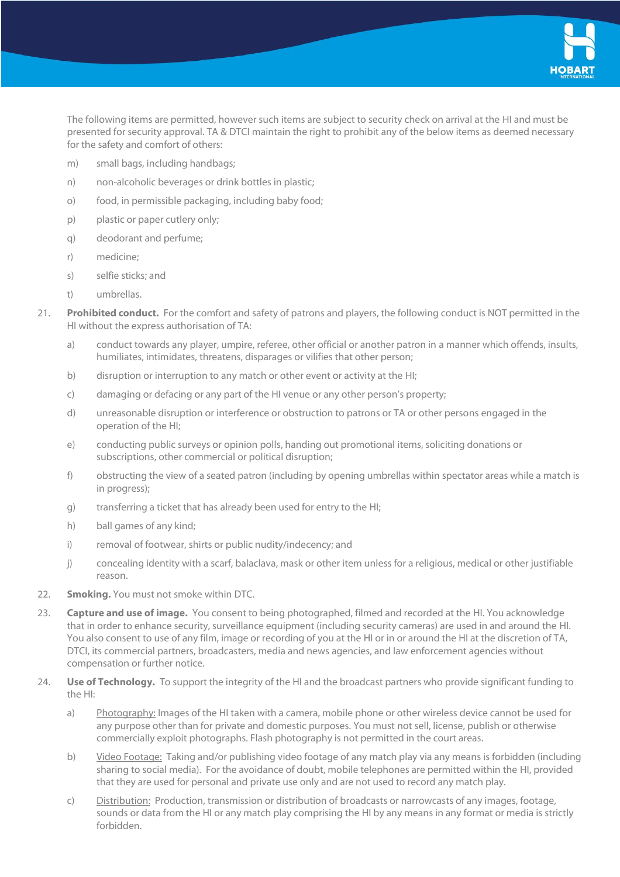

The following items are permitted, however such items are subject to security check on arrival at the HI and must be presented for security approval. TA & DTCI maintain the right to prohibit any of the below items as deemed necessary for the safety and comfort of others:

- m) small bags, including handbags;
- n) non-alcoholic beverages or drink bottles in plastic;
- o) food, in permissible packaging, including baby food;
- p) plastic or paper cutlery only;
- q) deodorant and perfume;
- r) medicine;
- s) selfie sticks; and
- t) umbrellas.
- 21. **Prohibited conduct.** For the comfort and safety of patrons and players, the following conduct is NOT permitted in the HI without the express authorisation of TA:
	- a) conduct towards any player, umpire, referee, other official or another patron in a manner which offends, insults, humiliates, intimidates, threatens, disparages or vilifies that other person;
	- b) disruption or interruption to any match or other event or activity at the HI;
	- c) damaging or defacing or any part of the HI venue or any other person's property;
	- d) unreasonable disruption or interference or obstruction to patrons or TA or other persons engaged in the operation of the HI;
	- e) conducting public surveys or opinion polls, handing out promotional items, soliciting donations or subscriptions, other commercial or political disruption;
	- f) obstructing the view of a seated patron (including by opening umbrellas within spectator areas while a match is in progress);
	- g) transferring a ticket that has already been used for entry to the HI;
	- h) ball games of any kind;
	- i) removal of footwear, shirts or public nudity/indecency; and
	- j) concealing identity with a scarf, balaclava, mask or other item unless for a religious, medical or other justifiable reason.
- 22. **Smoking.** You must not smoke within DTC.
- 23. **Capture and use of image.** You consent to being photographed, filmed and recorded at the HI. You acknowledge that in order to enhance security, surveillance equipment (including security cameras) are used in and around the HI. You also consent to use of any film, image or recording of you at the HI or in or around the HI at the discretion of TA, DTCI, its commercial partners, broadcasters, media and news agencies, and law enforcement agencies without compensation or further notice.
- 24. **Use of Technology.** To support the integrity of the HI and the broadcast partners who provide significant funding to the HI:
	- a) Photography: Images of the HI taken with a camera, mobile phone or other wireless device cannot be used for any purpose other than for private and domestic purposes. You must not sell, license, publish or otherwise commercially exploit photographs. Flash photography is not permitted in the court areas.
	- b) Video Footage: Taking and/or publishing video footage of any match play via any means is forbidden (including sharing to social media). For the avoidance of doubt, mobile telephones are permitted within the HI, provided that they are used for personal and private use only and are not used to record any match play.
	- c) Distribution: Production, transmission or distribution of broadcasts or narrowcasts of any images, footage, sounds or data from the HI or any match play comprising the HI by any means in any format or media is strictly forbidden.